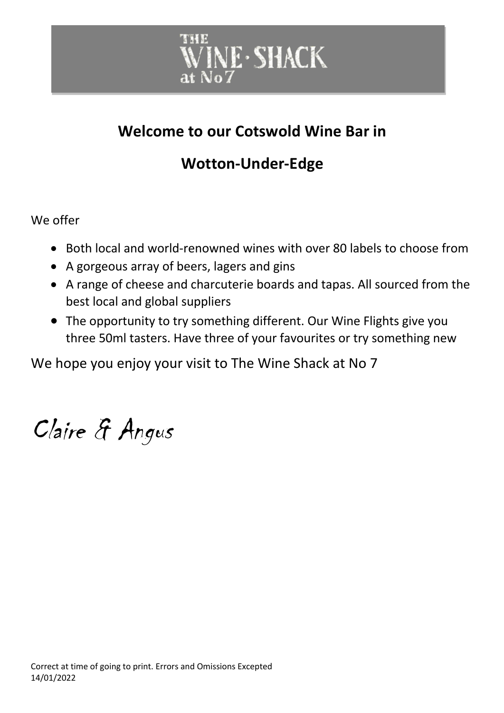

### **Welcome to our Cotswold Wine Bar in**

### **Wotton-Under-Edge**

We offer

- Both local and world-renowned wines with over 80 labels to choose from
- A gorgeous array of beers, lagers and gins
- A range of cheese and charcuterie boards and tapas. All sourced from the best local and global suppliers
- The opportunity to try something different. Our Wine Flights give you three 50ml tasters. Have three of your favourites or try something new

We hope you enjoy your visit to The Wine Shack at No 7

Claire & Angus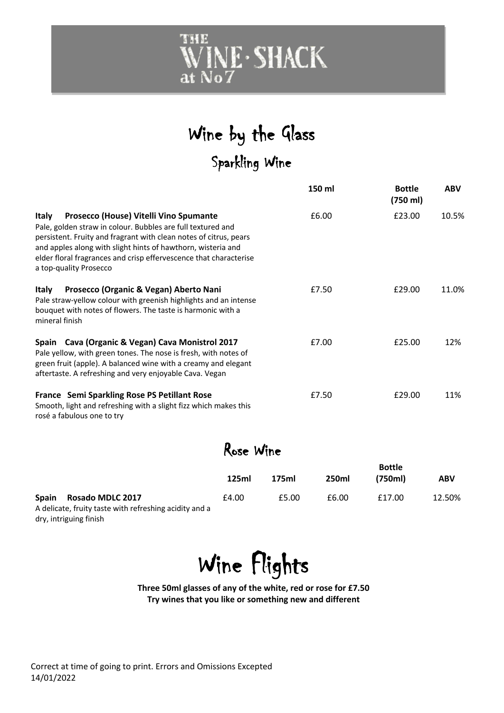

### Wine by the Glass Sparkling Wine

|                                                                                                                                                                                                                                                                                                                                                           |  |           |       | 150 ml | <b>Bottle</b><br>(750 ml) | <b>ABV</b> |  |
|-----------------------------------------------------------------------------------------------------------------------------------------------------------------------------------------------------------------------------------------------------------------------------------------------------------------------------------------------------------|--|-----------|-------|--------|---------------------------|------------|--|
| Prosecco (House) Vitelli Vino Spumante<br><b>Italy</b><br>Pale, golden straw in colour. Bubbles are full textured and<br>persistent. Fruity and fragrant with clean notes of citrus, pears<br>and apples along with slight hints of hawthorn, wisteria and<br>elder floral fragrances and crisp effervescence that characterise<br>a top-quality Prosecco |  |           |       | £6.00  | £23.00                    | 10.5%      |  |
| Prosecco (Organic & Vegan) Aberto Nani<br><b>Italy</b><br>Pale straw-yellow colour with greenish highlights and an intense<br>bouquet with notes of flowers. The taste is harmonic with a<br>mineral finish                                                                                                                                               |  |           |       | £7.50  | £29.00                    | 11.0%      |  |
| Spain Cava (Organic & Vegan) Cava Monistrol 2017<br>Pale yellow, with green tones. The nose is fresh, with notes of<br>green fruit (apple). A balanced wine with a creamy and elegant<br>aftertaste. A refreshing and very enjoyable Cava. Vegan                                                                                                          |  |           | £7.00 | £25.00 | 12%                       |            |  |
| France Semi Sparkling Rose PS Petillant Rose<br>Smooth, light and refreshing with a slight fizz which makes this<br>rosé a fabulous one to try                                                                                                                                                                                                            |  |           |       | £7.50  | £29.00                    | 11%        |  |
|                                                                                                                                                                                                                                                                                                                                                           |  | Rose Wine |       |        |                           |            |  |
|                                                                                                                                                                                                                                                                                                                                                           |  | 125ml     | 175ml | 250ml  | <b>Bottle</b><br>(750ml)  | <b>ABV</b> |  |
| Spain<br><b>Rosado MDLC 2017</b><br>A delicate, fruity taste with refreshing acidity and a<br>dry, intriguing finish                                                                                                                                                                                                                                      |  | £4.00     | £5.00 | £6.00  | £17.00                    | 12.50%     |  |



**Three 50ml glasses of any of the white, red or rose for £7.50 Try wines that you like or something new and different**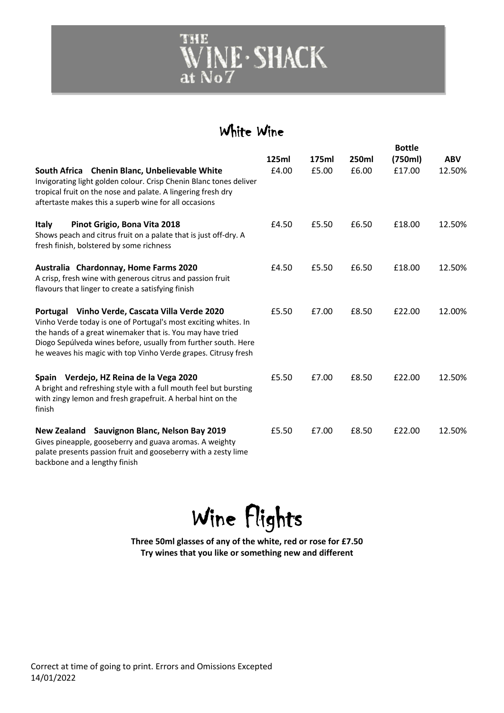

### White Wine

|                                                                                                                                                                                                                                                                                                                     |       |       |              | <b>Bottle</b> |            |
|---------------------------------------------------------------------------------------------------------------------------------------------------------------------------------------------------------------------------------------------------------------------------------------------------------------------|-------|-------|--------------|---------------|------------|
|                                                                                                                                                                                                                                                                                                                     | 125ml | 175ml | <b>250ml</b> | (750ml)       | <b>ABV</b> |
| <b>Chenin Blanc, Unbelievable White</b><br>South Africa<br>Invigorating light golden colour. Crisp Chenin Blanc tones deliver<br>tropical fruit on the nose and palate. A lingering fresh dry<br>aftertaste makes this a superb wine for all occasions                                                              | £4.00 | £5.00 | £6.00        | £17.00        | 12.50%     |
| Italy<br>Pinot Grigio, Bona Vita 2018<br>Shows peach and citrus fruit on a palate that is just off-dry. A<br>fresh finish, bolstered by some richness                                                                                                                                                               | £4.50 | £5.50 | £6.50        | £18.00        | 12.50%     |
| Australia Chardonnay, Home Farms 2020<br>A crisp, fresh wine with generous citrus and passion fruit<br>flavours that linger to create a satisfying finish                                                                                                                                                           | £4.50 | £5.50 | £6.50        | £18.00        | 12.50%     |
| Portugal Vinho Verde, Cascata Villa Verde 2020<br>Vinho Verde today is one of Portugal's most exciting whites. In<br>the hands of a great winemaker that is. You may have tried<br>Diogo Sepúlveda wines before, usually from further south. Here<br>he weaves his magic with top Vinho Verde grapes. Citrusy fresh | £5.50 | £7.00 | £8.50        | £22.00        | 12.00%     |
| Verdejo, HZ Reina de la Vega 2020<br><b>Spain</b><br>A bright and refreshing style with a full mouth feel but bursting<br>with zingy lemon and fresh grapefruit. A herbal hint on the<br>finish                                                                                                                     | £5.50 | £7.00 | £8.50        | £22.00        | 12.50%     |
| Sauvignon Blanc, Nelson Bay 2019<br>New Zealand<br>Gives pineapple, gooseberry and guava aromas. A weighty<br>palate presents passion fruit and gooseberry with a zesty lime<br>backbone and a lengthy finish                                                                                                       | £5.50 | £7.00 | £8.50        | £22.00        | 12.50%     |

Wine Flights

**Three 50ml glasses of any of the white, red or rose for £7.50 Try wines that you like or something new and different**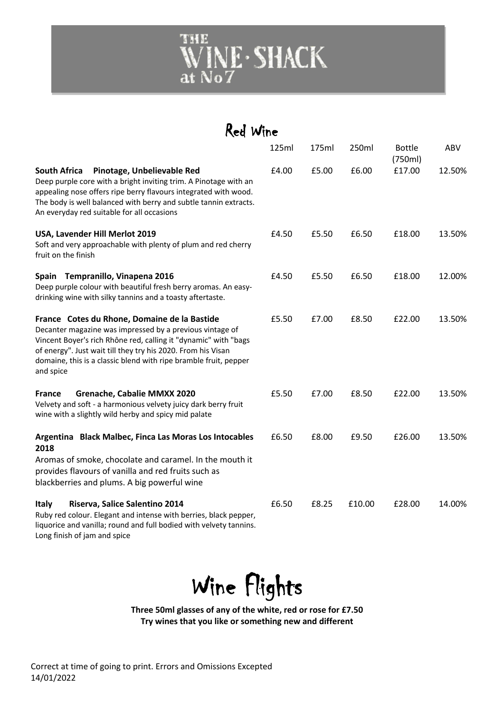

| Red Wine                                                                                                                                                                                                                                                                                                                     |       |       |        |                          |        |
|------------------------------------------------------------------------------------------------------------------------------------------------------------------------------------------------------------------------------------------------------------------------------------------------------------------------------|-------|-------|--------|--------------------------|--------|
|                                                                                                                                                                                                                                                                                                                              | 125ml | 175ml | 250ml  | <b>Bottle</b><br>(750ml) | ABV    |
| <b>South Africa</b><br>Pinotage, Unbelievable Red<br>Deep purple core with a bright inviting trim. A Pinotage with an<br>appealing nose offers ripe berry flavours integrated with wood.<br>The body is well balanced with berry and subtle tannin extracts.<br>An everyday red suitable for all occasions                   | £4.00 | £5.00 | £6.00  | £17.00                   | 12.50% |
| USA, Lavender Hill Merlot 2019<br>Soft and very approachable with plenty of plum and red cherry<br>fruit on the finish                                                                                                                                                                                                       | £4.50 | £5.50 | £6.50  | £18.00                   | 13.50% |
| Spain Tempranillo, Vinapena 2016<br>Deep purple colour with beautiful fresh berry aromas. An easy-<br>drinking wine with silky tannins and a toasty aftertaste.                                                                                                                                                              | £4.50 | £5.50 | £6.50  | £18.00                   | 12.00% |
| France Cotes du Rhone, Domaine de la Bastide<br>Decanter magazine was impressed by a previous vintage of<br>Vincent Boyer's rich Rhône red, calling it "dynamic" with "bags<br>of energy". Just wait till they try his 2020. From his Visan<br>domaine, this is a classic blend with ripe bramble fruit, pepper<br>and spice | £5.50 | £7.00 | £8.50  | £22.00                   | 13.50% |
| <b>Grenache, Cabalie MMXX 2020</b><br>France<br>Velvety and soft - a harmonious velvety juicy dark berry fruit<br>wine with a slightly wild herby and spicy mid palate                                                                                                                                                       | £5.50 | £7.00 | £8.50  | £22.00                   | 13.50% |
| Argentina Black Malbec, Finca Las Moras Los Intocables<br>2018<br>Aromas of smoke, chocolate and caramel. In the mouth it<br>provides flavours of vanilla and red fruits such as<br>blackberries and plums. A big powerful wine                                                                                              | £6.50 | £8.00 | £9.50  | £26.00                   | 13.50% |
| Riserva, Salice Salentino 2014<br>Italy<br>Ruby red colour. Elegant and intense with berries, black pepper,<br>liquorice and vanilla; round and full bodied with velvety tannins.<br>Long finish of jam and spice                                                                                                            | £6.50 | £8.25 | £10.00 | £28.00                   | 14.00% |



**Three 50ml glasses of any of the white, red or rose for £7.50 Try wines that you like or something new and different**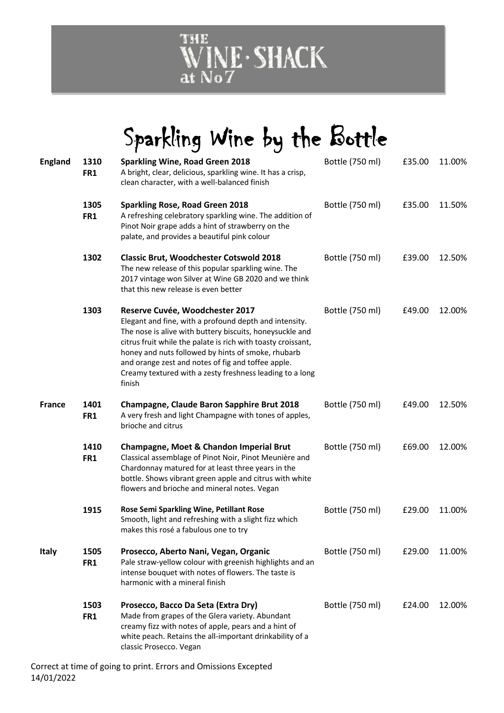

## Sparkling Wine by the Bottle

| <b>England</b> | 1310<br>FR1 | <b>Sparkling Wine, Road Green 2018</b><br>A bright, clear, delicious, sparkling wine. It has a crisp,<br>clean character, with a well-balanced finish                                                                                                                                                                                                                                                   | Bottle (750 ml) | £35.00 | 11.00% |
|----------------|-------------|---------------------------------------------------------------------------------------------------------------------------------------------------------------------------------------------------------------------------------------------------------------------------------------------------------------------------------------------------------------------------------------------------------|-----------------|--------|--------|
|                | 1305<br>FR1 | <b>Sparkling Rose, Road Green 2018</b><br>A refreshing celebratory sparkling wine. The addition of<br>Pinot Noir grape adds a hint of strawberry on the<br>palate, and provides a beautiful pink colour                                                                                                                                                                                                 | Bottle (750 ml) | £35.00 | 11.50% |
|                | 1302        | <b>Classic Brut, Woodchester Cotswold 2018</b><br>The new release of this popular sparkling wine. The<br>2017 vintage won Silver at Wine GB 2020 and we think<br>that this new release is even better                                                                                                                                                                                                   | Bottle (750 ml) | £39.00 | 12.50% |
|                | 1303        | Reserve Cuvée, Woodchester 2017<br>Elegant and fine, with a profound depth and intensity.<br>The nose is alive with buttery biscuits, honeysuckle and<br>citrus fruit while the palate is rich with toasty croissant,<br>honey and nuts followed by hints of smoke, rhubarb<br>and orange zest and notes of fig and toffee apple.<br>Creamy textured with a zesty freshness leading to a long<br>finish | Bottle (750 ml) | £49.00 | 12.00% |
| France         | 1401<br>FR1 | <b>Champagne, Claude Baron Sapphire Brut 2018</b><br>A very fresh and light Champagne with tones of apples,<br>brioche and citrus                                                                                                                                                                                                                                                                       | Bottle (750 ml) | £49.00 | 12.50% |
|                | 1410<br>FR1 | Champagne, Moet & Chandon Imperial Brut<br>Classical assemblage of Pinot Noir, Pinot Meunière and<br>Chardonnay matured for at least three years in the<br>bottle. Shows vibrant green apple and citrus with white<br>flowers and brioche and mineral notes. Vegan                                                                                                                                      | Bottle (750 ml) | £69.00 | 12.00% |
|                | 1915        | Rose Semi Sparkling Wine, Petillant Rose<br>Smooth, light and refreshing with a slight fizz which<br>makes this rosé a fabulous one to try                                                                                                                                                                                                                                                              | Bottle (750 ml) | £29.00 | 11.00% |
| <b>Italy</b>   | 1505<br>FR1 | Prosecco, Aberto Nani, Vegan, Organic<br>Pale straw-yellow colour with greenish highlights and an<br>intense bouquet with notes of flowers. The taste is<br>harmonic with a mineral finish                                                                                                                                                                                                              | Bottle (750 ml) | £29.00 | 11.00% |
|                | 1503<br>FR1 | Prosecco, Bacco Da Seta (Extra Dry)<br>Made from grapes of the Glera variety. Abundant<br>creamy fizz with notes of apple, pears and a hint of<br>white peach. Retains the all-important drinkability of a<br>classic Prosecco. Vegan                                                                                                                                                                   | Bottle (750 ml) | £24.00 | 12.00% |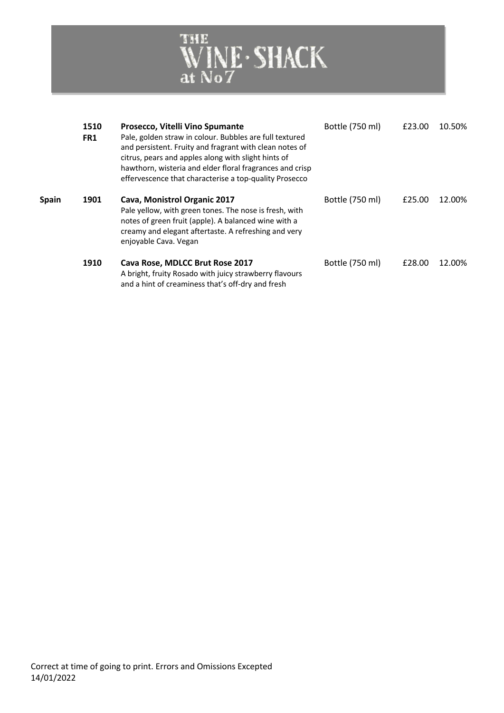

|              | 1510<br>FR1 | Prosecco, Vitelli Vino Spumante<br>Pale, golden straw in colour. Bubbles are full textured<br>and persistent. Fruity and fragrant with clean notes of<br>citrus, pears and apples along with slight hints of<br>hawthorn, wisteria and elder floral fragrances and crisp<br>effervescence that characterise a top-quality Prosecco | Bottle (750 ml) | £23.00 | 10.50% |
|--------------|-------------|------------------------------------------------------------------------------------------------------------------------------------------------------------------------------------------------------------------------------------------------------------------------------------------------------------------------------------|-----------------|--------|--------|
| <b>Spain</b> | 1901        | Cava, Monistrol Organic 2017<br>Pale yellow, with green tones. The nose is fresh, with<br>notes of green fruit (apple). A balanced wine with a<br>creamy and elegant aftertaste. A refreshing and very<br>enjoyable Cava. Vegan                                                                                                    | Bottle (750 ml) | £25.00 | 12.00% |
|              | 1910        | Cava Rose, MDLCC Brut Rose 2017<br>A bright, fruity Rosado with juicy strawberry flavours<br>and a hint of creaminess that's off-dry and fresh                                                                                                                                                                                     | Bottle (750 ml) | £28.00 | 12.00% |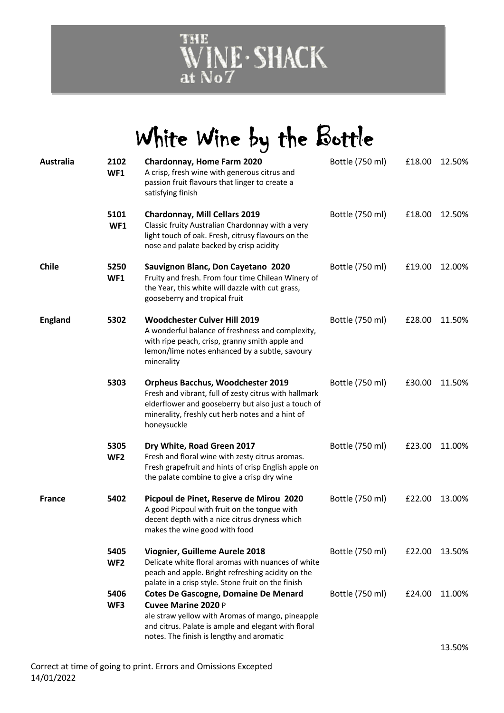

# White Wine by the Bottle

| Australia      | 2102<br>WF1             | <b>Chardonnay, Home Farm 2020</b><br>A crisp, fresh wine with generous citrus and<br>passion fruit flavours that linger to create a<br>satisfying finish                                                                          | Bottle (750 ml) | £18.00 | 12.50% |
|----------------|-------------------------|-----------------------------------------------------------------------------------------------------------------------------------------------------------------------------------------------------------------------------------|-----------------|--------|--------|
|                | 5101<br>WF1             | <b>Chardonnay, Mill Cellars 2019</b><br>Classic fruity Australian Chardonnay with a very<br>light touch of oak. Fresh, citrusy flavours on the<br>nose and palate backed by crisp acidity                                         | Bottle (750 ml) | £18.00 | 12.50% |
| <b>Chile</b>   | 5250<br>WF1             | Sauvignon Blanc, Don Cayetano 2020<br>Fruity and fresh. From four time Chilean Winery of<br>the Year, this white will dazzle with cut grass,<br>gooseberry and tropical fruit                                                     | Bottle (750 ml) | £19.00 | 12.00% |
| <b>England</b> | 5302                    | <b>Woodchester Culver Hill 2019</b><br>A wonderful balance of freshness and complexity,<br>with ripe peach, crisp, granny smith apple and<br>lemon/lime notes enhanced by a subtle, savoury<br>minerality                         | Bottle (750 ml) | £28.00 | 11.50% |
|                | 5303                    | <b>Orpheus Bacchus, Woodchester 2019</b><br>Fresh and vibrant, full of zesty citrus with hallmark<br>elderflower and gooseberry but also just a touch of<br>minerality, freshly cut herb notes and a hint of<br>honeysuckle       | Bottle (750 ml) | £30.00 | 11.50% |
|                | 5305<br>WF <sub>2</sub> | Dry White, Road Green 2017<br>Fresh and floral wine with zesty citrus aromas.<br>Fresh grapefruit and hints of crisp English apple on<br>the palate combine to give a crisp dry wine                                              | Bottle (750 ml) | £23.00 | 11.00% |
| <b>France</b>  | 5402                    | Picpoul de Pinet, Reserve de Mirou 2020<br>A good Picpoul with fruit on the tongue with<br>decent depth with a nice citrus dryness which<br>makes the wine good with food                                                         | Bottle (750 ml) | £22.00 | 13.00% |
|                | 5405<br>WF <sub>2</sub> | Viognier, Guilleme Aurele 2018<br>Delicate white floral aromas with nuances of white<br>peach and apple. Bright refreshing acidity on the<br>palate in a crisp style. Stone fruit on the finish                                   | Bottle (750 ml) | £22.00 | 13.50% |
|                | 5406<br>WF3             | <b>Cotes De Gascogne, Domaine De Menard</b><br><b>Cuvee Marine 2020 P</b><br>ale straw yellow with Aromas of mango, pineapple<br>and citrus. Palate is ample and elegant with floral<br>notes. The finish is lengthy and aromatic | Bottle (750 ml) | £24.00 | 11.00% |
|                |                         |                                                                                                                                                                                                                                   |                 |        | 13.50% |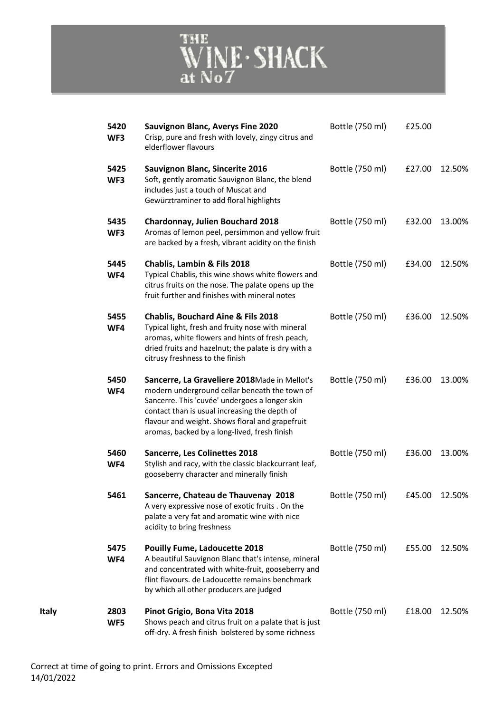

| 5420<br>WF3 | Sauvignon Blanc, Averys Fine 2020<br>Crisp, pure and fresh with lovely, zingy citrus and<br>elderflower flavours                                                                                                                                                                                    | Bottle (750 ml) | £25.00 |               |
|-------------|-----------------------------------------------------------------------------------------------------------------------------------------------------------------------------------------------------------------------------------------------------------------------------------------------------|-----------------|--------|---------------|
| 5425<br>WF3 | <b>Sauvignon Blanc, Sincerite 2016</b><br>Soft, gently aromatic Sauvignon Blanc, the blend<br>includes just a touch of Muscat and<br>Gewürztraminer to add floral highlights                                                                                                                        | Bottle (750 ml) | £27.00 | 12.50%        |
| 5435<br>WF3 | <b>Chardonnay, Julien Bouchard 2018</b><br>Aromas of lemon peel, persimmon and yellow fruit<br>are backed by a fresh, vibrant acidity on the finish                                                                                                                                                 | Bottle (750 ml) | £32.00 | 13.00%        |
| 5445<br>WF4 | Chablis, Lambin & Fils 2018<br>Typical Chablis, this wine shows white flowers and<br>citrus fruits on the nose. The palate opens up the<br>fruit further and finishes with mineral notes                                                                                                            | Bottle (750 ml) | £34.00 | 12.50%        |
| 5455<br>WF4 | <b>Chablis, Bouchard Aine &amp; Fils 2018</b><br>Typical light, fresh and fruity nose with mineral<br>aromas, white flowers and hints of fresh peach,<br>dried fruits and hazelnut; the palate is dry with a<br>citrusy freshness to the finish                                                     | Bottle (750 ml) | £36.00 | 12.50%        |
| 5450<br>WF4 | Sancerre, La Graveliere 2018Made in Mellot's<br>modern underground cellar beneath the town of<br>Sancerre. This 'cuvée' undergoes a longer skin<br>contact than is usual increasing the depth of<br>flavour and weight. Shows floral and grapefruit<br>aromas, backed by a long-lived, fresh finish | Bottle (750 ml) | £36.00 | 13.00%        |
| 5460<br>WF4 | <b>Sancerre, Les Colinettes 2018</b><br>Stylish and racy, with the classic blackcurrant leaf,<br>gooseberry character and minerally finish                                                                                                                                                          | Bottle (750 ml) | £36.00 | 13.00%        |
| 5461        | Sancerre, Chateau de Thauvenay 2018<br>A very expressive nose of exotic fruits . On the<br>palate a very fat and aromatic wine with nice<br>acidity to bring freshness                                                                                                                              | Bottle (750 ml) |        | £45.00 12.50% |
| 5475<br>WF4 | <b>Pouilly Fume, Ladoucette 2018</b><br>A beautiful Sauvignon Blanc that's intense, mineral<br>and concentrated with white-fruit, gooseberry and<br>flint flavours. de Ladoucette remains benchmark<br>by which all other producers are judged                                                      | Bottle (750 ml) | £55.00 | 12.50%        |
| 2803<br>WF5 | Pinot Grigio, Bona Vita 2018<br>Shows peach and citrus fruit on a palate that is just<br>off-dry. A fresh finish bolstered by some richness                                                                                                                                                         | Bottle (750 ml) | £18.00 | 12.50%        |

**Italy 2803**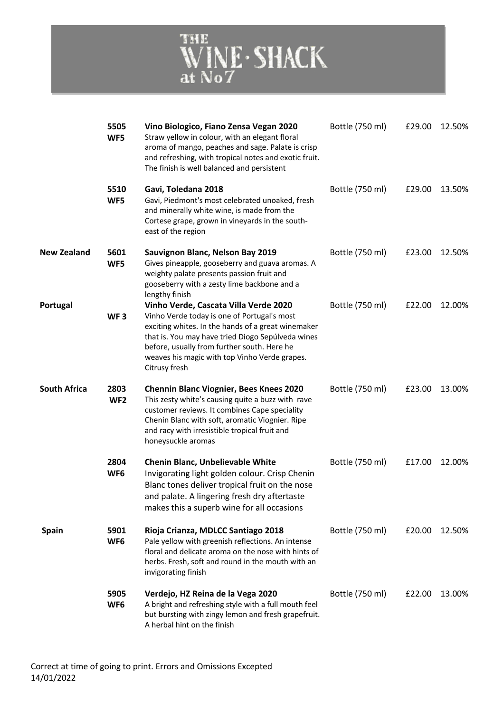

|                     | 5505<br>WF5             | Vino Biologico, Fiano Zensa Vegan 2020<br>Straw yellow in colour, with an elegant floral<br>aroma of mango, peaches and sage. Palate is crisp<br>and refreshing, with tropical notes and exotic fruit.<br>The finish is well balanced and persistent                                                             | Bottle (750 ml) | £29.00 | 12.50% |
|---------------------|-------------------------|------------------------------------------------------------------------------------------------------------------------------------------------------------------------------------------------------------------------------------------------------------------------------------------------------------------|-----------------|--------|--------|
|                     | 5510<br>WF5             | Gavi, Toledana 2018<br>Gavi, Piedmont's most celebrated unoaked, fresh<br>and minerally white wine, is made from the<br>Cortese grape, grown in vineyards in the south-<br>east of the region                                                                                                                    | Bottle (750 ml) | £29.00 | 13.50% |
| <b>New Zealand</b>  | 5601<br>WF5             | Sauvignon Blanc, Nelson Bay 2019<br>Gives pineapple, gooseberry and guava aromas. A<br>weighty palate presents passion fruit and<br>gooseberry with a zesty lime backbone and a<br>lengthy finish                                                                                                                | Bottle (750 ml) | £23.00 | 12.50% |
| Portugal            | WF <sub>3</sub>         | Vinho Verde, Cascata Villa Verde 2020<br>Vinho Verde today is one of Portugal's most<br>exciting whites. In the hands of a great winemaker<br>that is. You may have tried Diogo Sepúlveda wines<br>before, usually from further south. Here he<br>weaves his magic with top Vinho Verde grapes.<br>Citrusy fresh | Bottle (750 ml) | £22.00 | 12.00% |
| <b>South Africa</b> | 2803<br>WF <sub>2</sub> | <b>Chennin Blanc Viognier, Bees Knees 2020</b><br>This zesty white's causing quite a buzz with rave<br>customer reviews. It combines Cape speciality<br>Chenin Blanc with soft, aromatic Viognier. Ripe<br>and racy with irresistible tropical fruit and<br>honeysuckle aromas                                   | Bottle (750 ml) | £23.00 | 13.00% |
|                     | 2804<br>WF <sub>6</sub> | Chenin Blanc, Unbelievable White<br>Invigorating light golden colour. Crisp Chenin<br>Blanc tones deliver tropical fruit on the nose<br>and palate. A lingering fresh dry aftertaste<br>makes this a superb wine for all occasions                                                                               | Bottle (750 ml) | £17.00 | 12.00% |
| <b>Spain</b>        | 5901<br>WF <sub>6</sub> | Rioja Crianza, MDLCC Santiago 2018<br>Pale yellow with greenish reflections. An intense<br>floral and delicate aroma on the nose with hints of<br>herbs. Fresh, soft and round in the mouth with an<br>invigorating finish                                                                                       | Bottle (750 ml) | £20.00 | 12.50% |
|                     | 5905<br>WF <sub>6</sub> | Verdejo, HZ Reina de la Vega 2020<br>A bright and refreshing style with a full mouth feel<br>but bursting with zingy lemon and fresh grapefruit.<br>A herbal hint on the finish                                                                                                                                  | Bottle (750 ml) | £22.00 | 13.00% |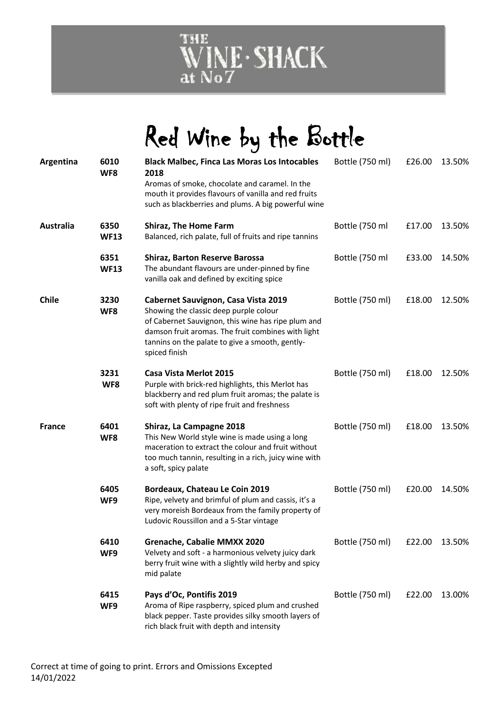

# Red Wine by the Bottle

| Argentina     | 6010<br>WF8         | <b>Black Malbec, Finca Las Moras Los Intocables</b><br>2018<br>Aromas of smoke, chocolate and caramel. In the<br>mouth it provides flavours of vanilla and red fruits<br>such as blackberries and plums. A big powerful wine                                  | Bottle (750 ml) | £26.00 | 13.50% |
|---------------|---------------------|---------------------------------------------------------------------------------------------------------------------------------------------------------------------------------------------------------------------------------------------------------------|-----------------|--------|--------|
| Australia     | 6350<br><b>WF13</b> | <b>Shiraz, The Home Farm</b><br>Balanced, rich palate, full of fruits and ripe tannins                                                                                                                                                                        | Bottle (750 ml  | £17.00 | 13.50% |
|               | 6351<br><b>WF13</b> | <b>Shiraz, Barton Reserve Barossa</b><br>The abundant flavours are under-pinned by fine<br>vanilla oak and defined by exciting spice                                                                                                                          | Bottle (750 ml  | £33.00 | 14.50% |
| <b>Chile</b>  | 3230<br>WF8         | Cabernet Sauvignon, Casa Vista 2019<br>Showing the classic deep purple colour<br>of Cabernet Sauvignon, this wine has ripe plum and<br>damson fruit aromas. The fruit combines with light<br>tannins on the palate to give a smooth, gently-<br>spiced finish | Bottle (750 ml) | £18.00 | 12.50% |
|               | 3231<br>WF8         | Casa Vista Merlot 2015<br>Purple with brick-red highlights, this Merlot has<br>blackberry and red plum fruit aromas; the palate is<br>soft with plenty of ripe fruit and freshness                                                                            | Bottle (750 ml) | £18.00 | 12.50% |
| <b>France</b> | 6401<br>WF8         | Shiraz, La Campagne 2018<br>This New World style wine is made using a long<br>maceration to extract the colour and fruit without<br>too much tannin, resulting in a rich, juicy wine with<br>a soft, spicy palate                                             | Bottle (750 ml) | £18.00 | 13.50% |
|               | 6405<br>WF9         | Bordeaux, Chateau Le Coin 2019<br>Ripe, velvety and brimful of plum and cassis, it's a<br>very moreish Bordeaux from the family property of<br>Ludovic Roussillon and a 5-Star vintage                                                                        | Bottle (750 ml) | £20.00 | 14.50% |
|               | 6410<br>WF9         | Grenache, Cabalie MMXX 2020<br>Velvety and soft - a harmonious velvety juicy dark<br>berry fruit wine with a slightly wild herby and spicy<br>mid palate                                                                                                      | Bottle (750 ml) | £22.00 | 13.50% |
|               | 6415<br>WF9         | Pays d'Oc, Pontifis 2019<br>Aroma of Ripe raspberry, spiced plum and crushed<br>black pepper. Taste provides silky smooth layers of<br>rich black fruit with depth and intensity                                                                              | Bottle (750 ml) | £22.00 | 13.00% |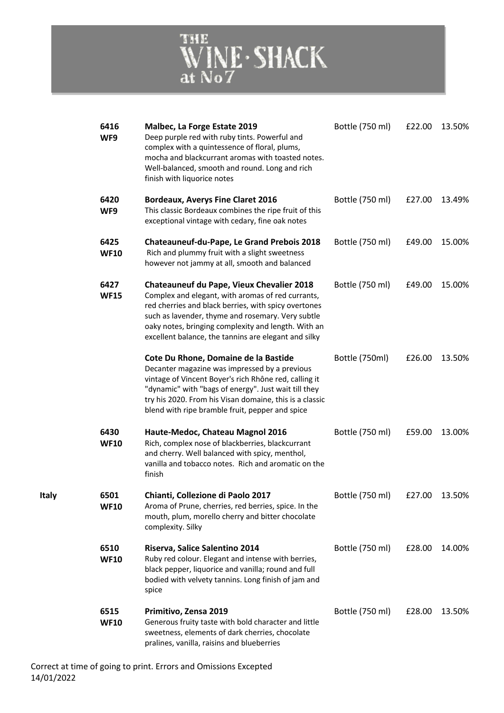

| 6416<br>WF9         | Malbec, La Forge Estate 2019<br>Deep purple red with ruby tints. Powerful and<br>complex with a quintessence of floral, plums,<br>mocha and blackcurrant aromas with toasted notes.<br>Well-balanced, smooth and round. Long and rich<br>finish with liquorice notes                                                              | Bottle (750 ml) | £22.00 | 13.50% |
|---------------------|-----------------------------------------------------------------------------------------------------------------------------------------------------------------------------------------------------------------------------------------------------------------------------------------------------------------------------------|-----------------|--------|--------|
| 6420<br>WF9         | <b>Bordeaux, Averys Fine Claret 2016</b><br>This classic Bordeaux combines the ripe fruit of this<br>exceptional vintage with cedary, fine oak notes                                                                                                                                                                              | Bottle (750 ml) | £27.00 | 13.49% |
| 6425<br><b>WF10</b> | <b>Chateauneuf-du-Pape, Le Grand Prebois 2018</b><br>Rich and plummy fruit with a slight sweetness<br>however not jammy at all, smooth and balanced                                                                                                                                                                               | Bottle (750 ml) | £49.00 | 15.00% |
| 6427<br><b>WF15</b> | <b>Chateauneuf du Pape, Vieux Chevalier 2018</b><br>Complex and elegant, with aromas of red currants,<br>red cherries and black berries, with spicy overtones<br>such as lavender, thyme and rosemary. Very subtle<br>oaky notes, bringing complexity and length. With an<br>excellent balance, the tannins are elegant and silky | Bottle (750 ml) | £49.00 | 15.00% |
|                     | Cote Du Rhone, Domaine de la Bastide<br>Decanter magazine was impressed by a previous<br>vintage of Vincent Boyer's rich Rhône red, calling it<br>"dynamic" with "bags of energy". Just wait till they<br>try his 2020. From his Visan domaine, this is a classic<br>blend with ripe bramble fruit, pepper and spice              | Bottle (750ml)  | £26.00 | 13.50% |
| 6430<br><b>WF10</b> | Haute-Medoc, Chateau Magnol 2016<br>Rich, complex nose of blackberries, blackcurrant<br>and cherry. Well balanced with spicy, menthol,<br>vanilla and tobacco notes. Rich and aromatic on the<br>finish                                                                                                                           | Bottle (750 ml) | £59.00 | 13.00% |
| 6501<br><b>WF10</b> | Chianti, Collezione di Paolo 2017<br>Aroma of Prune, cherries, red berries, spice. In the<br>mouth, plum, morello cherry and bitter chocolate<br>complexity. Silky                                                                                                                                                                | Bottle (750 ml) | £27.00 | 13.50% |
| 6510<br><b>WF10</b> | Riserva, Salice Salentino 2014<br>Ruby red colour. Elegant and intense with berries,<br>black pepper, liquorice and vanilla; round and full<br>bodied with velvety tannins. Long finish of jam and<br>spice                                                                                                                       | Bottle (750 ml) | £28.00 | 14.00% |
| 6515<br><b>WF10</b> | Primitivo, Zensa 2019<br>Generous fruity taste with bold character and little<br>sweetness, elements of dark cherries, chocolate<br>pralines, vanilla, raisins and blueberries                                                                                                                                                    | Bottle (750 ml) | £28.00 | 13.50% |

**Italy**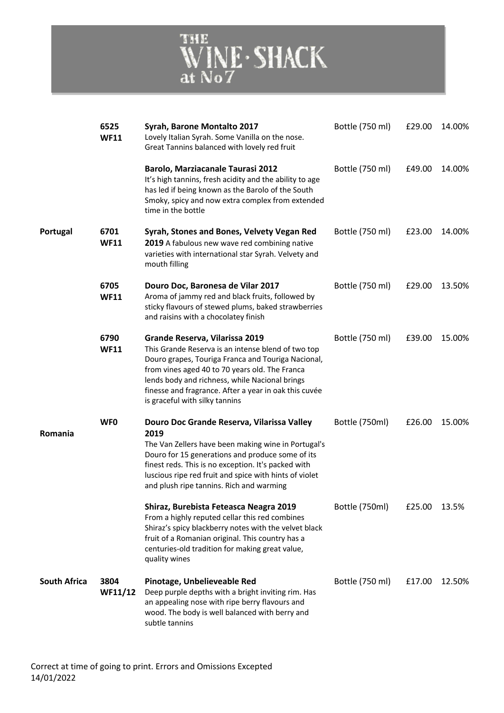

|                     | 6525<br><b>WF11</b> | Syrah, Barone Montalto 2017<br>Lovely Italian Syrah. Some Vanilla on the nose.<br>Great Tannins balanced with lovely red fruit                                                                                                                                                                                                            | Bottle (750 ml) | £29.00 | 14.00% |
|---------------------|---------------------|-------------------------------------------------------------------------------------------------------------------------------------------------------------------------------------------------------------------------------------------------------------------------------------------------------------------------------------------|-----------------|--------|--------|
|                     |                     | <b>Barolo, Marziacanale Taurasi 2012</b><br>It's high tannins, fresh acidity and the ability to age<br>has led if being known as the Barolo of the South<br>Smoky, spicy and now extra complex from extended<br>time in the bottle                                                                                                        | Bottle (750 ml) | £49.00 | 14.00% |
| Portugal            | 6701<br><b>WF11</b> | Syrah, Stones and Bones, Velvety Vegan Red<br>2019 A fabulous new wave red combining native<br>varieties with international star Syrah. Velvety and<br>mouth filling                                                                                                                                                                      | Bottle (750 ml) | £23.00 | 14.00% |
|                     | 6705<br><b>WF11</b> | Douro Doc, Baronesa de Vilar 2017<br>Aroma of jammy red and black fruits, followed by<br>sticky flavours of stewed plums, baked strawberries<br>and raisins with a chocolatey finish                                                                                                                                                      | Bottle (750 ml) | £29.00 | 13.50% |
|                     | 6790<br><b>WF11</b> | Grande Reserva, Vilarissa 2019<br>This Grande Reserva is an intense blend of two top<br>Douro grapes, Touriga Franca and Touriga Nacional,<br>from vines aged 40 to 70 years old. The Franca<br>lends body and richness, while Nacional brings<br>finesse and fragrance. After a year in oak this cuvée<br>is graceful with silky tannins | Bottle (750 ml) | £39.00 | 15.00% |
| Romania             | <b>WFO</b>          | Douro Doc Grande Reserva, Vilarissa Valley<br>2019<br>The Van Zellers have been making wine in Portugal's<br>Douro for 15 generations and produce some of its<br>finest reds. This is no exception. It's packed with<br>luscious ripe red fruit and spice with hints of violet<br>and plush ripe tannins. Rich and warming                | Bottle (750ml)  | £26.00 | 15.00% |
|                     |                     | Shiraz, Burebista Feteasca Neagra 2019<br>From a highly reputed cellar this red combines<br>Shiraz's spicy blackberry notes with the velvet black<br>fruit of a Romanian original. This country has a<br>centuries-old tradition for making great value,<br>quality wines                                                                 | Bottle (750ml)  | £25.00 | 13.5%  |
| <b>South Africa</b> | 3804<br>WF11/12     | Pinotage, Unbelieveable Red<br>Deep purple depths with a bright inviting rim. Has<br>an appealing nose with ripe berry flavours and<br>wood. The body is well balanced with berry and<br>subtle tannins                                                                                                                                   | Bottle (750 ml) | £17.00 | 12.50% |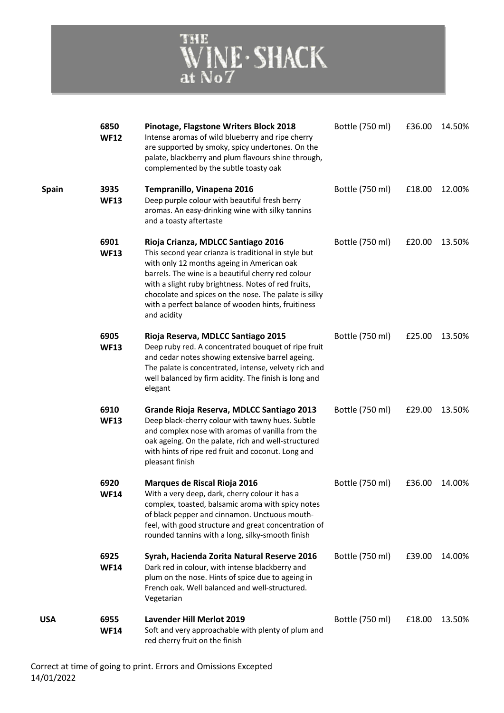

|              | 6850<br><b>WF12</b> | Pinotage, Flagstone Writers Block 2018<br>Intense aromas of wild blueberry and ripe cherry<br>are supported by smoky, spicy undertones. On the<br>palate, blackberry and plum flavours shine through,<br>complemented by the subtle toasty oak                                                                                                                                      | Bottle (750 ml) | £36.00 | 14.50% |
|--------------|---------------------|-------------------------------------------------------------------------------------------------------------------------------------------------------------------------------------------------------------------------------------------------------------------------------------------------------------------------------------------------------------------------------------|-----------------|--------|--------|
| <b>Spain</b> | 3935<br><b>WF13</b> | Tempranillo, Vinapena 2016<br>Deep purple colour with beautiful fresh berry<br>aromas. An easy-drinking wine with silky tannins<br>and a toasty aftertaste                                                                                                                                                                                                                          | Bottle (750 ml) | £18.00 | 12.00% |
|              | 6901<br><b>WF13</b> | Rioja Crianza, MDLCC Santiago 2016<br>This second year crianza is traditional in style but<br>with only 12 months ageing in American oak<br>barrels. The wine is a beautiful cherry red colour<br>with a slight ruby brightness. Notes of red fruits,<br>chocolate and spices on the nose. The palate is silky<br>with a perfect balance of wooden hints, fruitiness<br>and acidity | Bottle (750 ml) | £20.00 | 13.50% |
|              | 6905<br><b>WF13</b> | Rioja Reserva, MDLCC Santiago 2015<br>Deep ruby red. A concentrated bouquet of ripe fruit<br>and cedar notes showing extensive barrel ageing.<br>The palate is concentrated, intense, velvety rich and<br>well balanced by firm acidity. The finish is long and<br>elegant                                                                                                          | Bottle (750 ml) | £25.00 | 13.50% |
|              | 6910<br><b>WF13</b> | Grande Rioja Reserva, MDLCC Santiago 2013<br>Deep black-cherry colour with tawny hues. Subtle<br>and complex nose with aromas of vanilla from the<br>oak ageing. On the palate, rich and well-structured<br>with hints of ripe red fruit and coconut. Long and<br>pleasant finish                                                                                                   | Bottle (750 ml) | £29.00 | 13.50% |
|              | 6920<br><b>WF14</b> | Marques de Riscal Rioja 2016<br>With a very deep, dark, cherry colour it has a<br>complex, toasted, balsamic aroma with spicy notes<br>of black pepper and cinnamon. Unctuous mouth-<br>feel, with good structure and great concentration of<br>rounded tannins with a long, silky-smooth finish                                                                                    | Bottle (750 ml) | £36.00 | 14.00% |
|              | 6925<br><b>WF14</b> | Syrah, Hacienda Zorita Natural Reserve 2016<br>Dark red in colour, with intense blackberry and<br>plum on the nose. Hints of spice due to ageing in<br>French oak. Well balanced and well-structured.<br>Vegetarian                                                                                                                                                                 | Bottle (750 ml) | £39.00 | 14.00% |
| USA          | 6955<br><b>WF14</b> | <b>Lavender Hill Merlot 2019</b><br>Soft and very approachable with plenty of plum and<br>red cherry fruit on the finish                                                                                                                                                                                                                                                            | Bottle (750 ml) | £18.00 | 13.50% |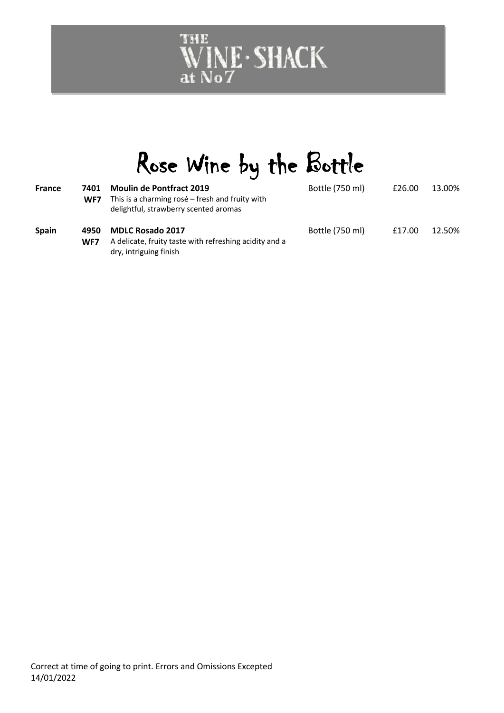# WINE · SHACK

# Rose Wine by the Bottle

| <b>France</b> | 7401<br>WF7 | <b>Moulin de Pontfract 2019</b><br>This is a charming rosé - fresh and fruity with<br>delightful, strawberry scented aromas | Bottle (750 ml) | £26.00 | 13.00% |
|---------------|-------------|-----------------------------------------------------------------------------------------------------------------------------|-----------------|--------|--------|
| <b>Spain</b>  | 4950<br>WF7 | <b>MDLC Rosado 2017</b><br>A delicate, fruity taste with refreshing acidity and a<br>dry, intriguing finish                 | Bottle (750 ml) | £17.00 | 12.50% |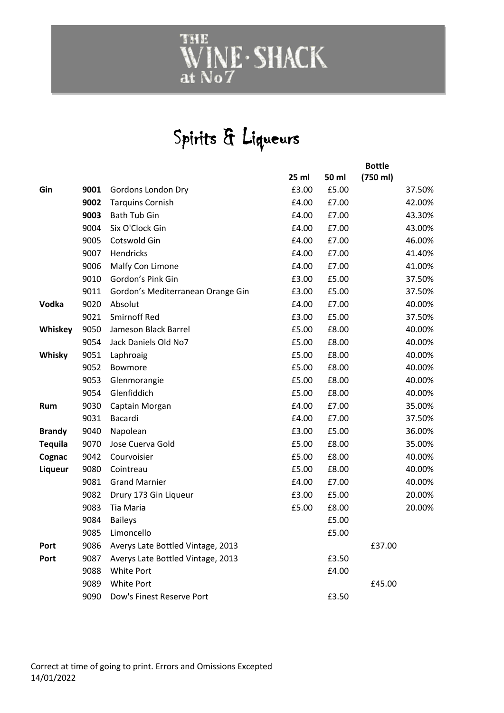# WINE · SHACK

### Spirits & Liqueurs

|                |      |                                   |       | <b>Bottle</b> |          |        |
|----------------|------|-----------------------------------|-------|---------------|----------|--------|
|                |      |                                   | 25 ml | 50 ml         | (750 ml) |        |
| Gin            | 9001 | Gordons London Dry                | £3.00 | £5.00         |          | 37.50% |
|                | 9002 | <b>Tarquins Cornish</b>           | £4.00 | £7.00         |          | 42.00% |
|                | 9003 | Bath Tub Gin                      | £4.00 | £7.00         |          | 43.30% |
|                | 9004 | Six O'Clock Gin                   | £4.00 | £7.00         |          | 43.00% |
|                | 9005 | Cotswold Gin                      | £4.00 | £7.00         |          | 46.00% |
|                | 9007 | Hendricks                         | £4.00 | £7.00         |          | 41.40% |
|                | 9006 | Malfy Con Limone                  | £4.00 | £7.00         |          | 41.00% |
|                | 9010 | Gordon's Pink Gin                 | £3.00 | £5.00         |          | 37.50% |
|                | 9011 | Gordon's Mediterranean Orange Gin | £3.00 | £5.00         |          | 37.50% |
| Vodka          | 9020 | Absolut                           | £4.00 | £7.00         |          | 40.00% |
|                | 9021 | <b>Smirnoff Red</b>               | £3.00 | £5.00         |          | 37.50% |
| Whiskey        | 9050 | Jameson Black Barrel              | £5.00 | £8.00         |          | 40.00% |
|                | 9054 | Jack Daniels Old No7              | £5.00 | £8.00         |          | 40.00% |
| Whisky         | 9051 | Laphroaig                         | £5.00 | £8.00         |          | 40.00% |
|                | 9052 | Bowmore                           | £5.00 | £8.00         |          | 40.00% |
|                | 9053 | Glenmorangie                      | £5.00 | £8.00         |          | 40.00% |
|                | 9054 | Glenfiddich                       | £5.00 | £8.00         |          | 40.00% |
| Rum            | 9030 | Captain Morgan                    | £4.00 | £7.00         |          | 35.00% |
|                | 9031 | Bacardi                           | £4.00 | £7.00         |          | 37.50% |
| <b>Brandy</b>  | 9040 | Napolean                          | £3.00 | £5.00         |          | 36.00% |
| <b>Tequila</b> | 9070 | Jose Cuerva Gold                  | £5.00 | £8.00         |          | 35.00% |
| Cognac         | 9042 | Courvoisier                       | £5.00 | £8.00         |          | 40.00% |
| Liqueur        | 9080 | Cointreau                         | £5.00 | £8.00         |          | 40.00% |
|                | 9081 | <b>Grand Marnier</b>              | £4.00 | £7.00         |          | 40.00% |
|                | 9082 | Drury 173 Gin Liqueur             | £3.00 | £5.00         |          | 20.00% |
|                | 9083 | Tia Maria                         | £5.00 | £8.00         |          | 20.00% |
|                | 9084 | <b>Baileys</b>                    |       | £5.00         |          |        |
|                | 9085 | Limoncello                        |       | £5.00         |          |        |
| Port           | 9086 | Averys Late Bottled Vintage, 2013 |       |               | £37.00   |        |
| Port           | 9087 | Averys Late Bottled Vintage, 2013 |       | £3.50         |          |        |
|                | 9088 | <b>White Port</b>                 |       | £4.00         |          |        |
|                | 9089 | <b>White Port</b>                 |       |               | £45.00   |        |
|                | 9090 | Dow's Finest Reserve Port         |       | £3.50         |          |        |